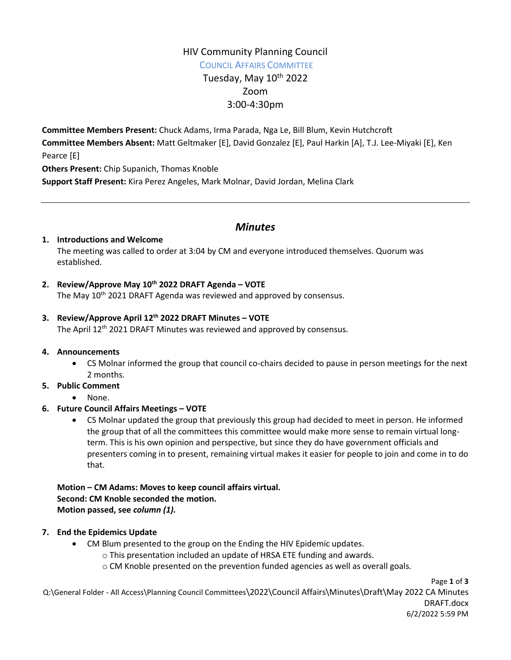# HIV Community Planning Council

COUNCIL AFFAIRS COMMITTEE Tuesday, May 10<sup>th</sup> 2022 Zoom 3:00-4:30pm

**Committee Members Present:** Chuck Adams, Irma Parada, Nga Le, Bill Blum, Kevin Hutchcroft **Committee Members Absent:** Matt Geltmaker [E], David Gonzalez [E], Paul Harkin [A], T.J. Lee-Miyaki [E], Ken Pearce [E] **Others Present:** Chip Supanich, Thomas Knoble

**Support Staff Present:** Kira Perez Angeles, Mark Molnar, David Jordan, Melina Clark

# *Minutes*

#### **1. Introductions and Welcome**

The meeting was called to order at 3:04 by CM and everyone introduced themselves. Quorum was established.

# **2. Review/Approve May 10th 2022 DRAFT Agenda – VOTE**

The May 10<sup>th</sup> 2021 DRAFT Agenda was reviewed and approved by consensus.

# **3. Review/Approve April 12th 2022 DRAFT Minutes – VOTE**

The April 12<sup>th</sup> 2021 DRAFT Minutes was reviewed and approved by consensus.

#### **4. Announcements**

 CS Molnar informed the group that council co-chairs decided to pause in person meetings for the next 2 months.

# **5. Public Comment**

None.

# **6. Future Council Affairs Meetings – VOTE**

 CS Molnar updated the group that previously this group had decided to meet in person. He informed the group that of all the committees this committee would make more sense to remain virtual longterm. This is his own opinion and perspective, but since they do have government officials and presenters coming in to present, remaining virtual makes it easier for people to join and come in to do that.

#### **Motion – CM Adams: Moves to keep council affairs virtual. Second: CM Knoble seconded the motion. Motion passed, see** *column (1).*

# **7. End the Epidemics Update**

- CM Blum presented to the group on the Ending the HIV Epidemic updates.
	- o This presentation included an update of HRSA ETE funding and awards.
	- o CM Knoble presented on the prevention funded agencies as well as overall goals.

Page **1** of **3**

Q:\General Folder - All Access\Planning Council Committees\2022\Council Affairs\Minutes\Draft\May 2022 CA Minutes DRAFT.docx 6/2/2022 5:59 PM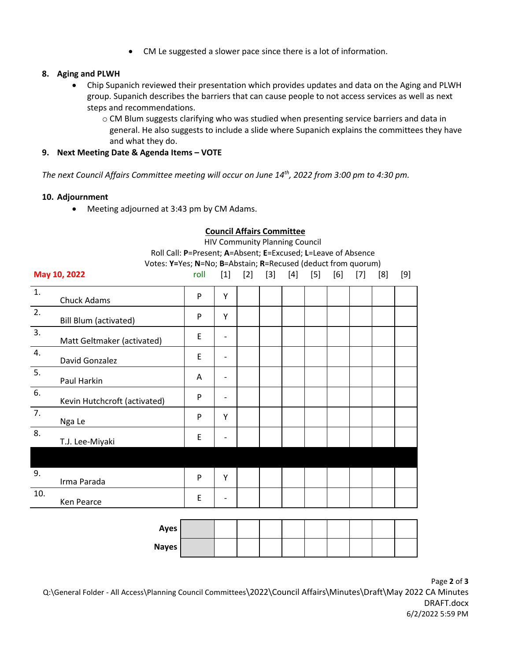CM Le suggested a slower pace since there is a lot of information.

#### **8. Aging and PLWH**

 Chip Supanich reviewed their presentation which provides updates and data on the Aging and PLWH group. Supanich describes the barriers that can cause people to not access services as well as next steps and recommendations.

**Council Affairs Committee**

o CM Blum suggests clarifying who was studied when presenting service barriers and data in general. He also suggests to include a slide where Supanich explains the committees they have and what they do.

#### **9. Next Meeting Date & Agenda Items – VOTE**

*The next Council Affairs Committee meeting will occur on June 14th , 2022 from 3:00 pm to 4:30 pm.* 

#### **10. Adjournment**

Meeting adjourned at 3:43 pm by CM Adams.

|              | <b>HIV Community Planning Council</b>                         |      |       |       |       |       |       |     |     |     |     |  |
|--------------|---------------------------------------------------------------|------|-------|-------|-------|-------|-------|-----|-----|-----|-----|--|
|              | Roll Call: P=Present; A=Absent; E=Excused; L=Leave of Absence |      |       |       |       |       |       |     |     |     |     |  |
|              | Votes: Y=Yes; N=No; B=Abstain; R=Recused (deduct from quorum) |      |       |       |       |       |       |     |     |     |     |  |
| May 10, 2022 |                                                               | roll | $[1]$ | $[2]$ | $[3]$ | $[4]$ | $[5]$ | [6] | [7] | [8] | [9] |  |
| 1.           | Chuck Adams                                                   | P    | Y     |       |       |       |       |     |     |     |     |  |
| 2.           | Bill Blum (activated)                                         | P    | Υ     |       |       |       |       |     |     |     |     |  |
| 3.           | Matt Geltmaker (activated)                                    | E    |       |       |       |       |       |     |     |     |     |  |
| 4.           | David Gonzalez                                                | E    |       |       |       |       |       |     |     |     |     |  |
| 5.           | Paul Harkin                                                   | A    |       |       |       |       |       |     |     |     |     |  |
| 6.           | Kevin Hutchcroft (activated)                                  | P    |       |       |       |       |       |     |     |     |     |  |
| 7.           | Nga Le                                                        | P    | Υ     |       |       |       |       |     |     |     |     |  |
| 8.           | T.J. Lee-Miyaki                                               | E    |       |       |       |       |       |     |     |     |     |  |
|              |                                                               |      |       |       |       |       |       |     |     |     |     |  |
| 9.           | Irma Parada                                                   | P    | Υ     |       |       |       |       |     |     |     |     |  |
| 10.          | Ken Pearce                                                    | E    |       |       |       |       |       |     |     |     |     |  |

| Ayes  |  |  |  |  |  |
|-------|--|--|--|--|--|
| Nayes |  |  |  |  |  |